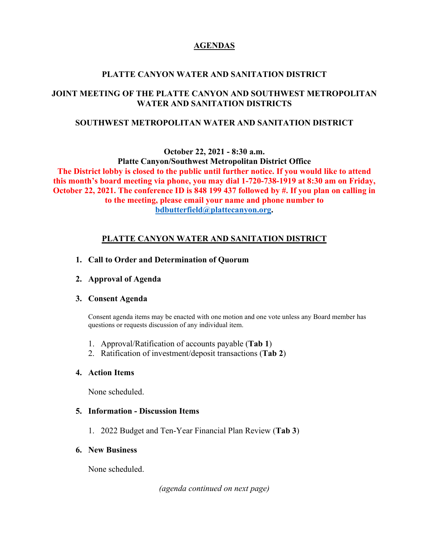### **AGENDAS**

# **PLATTE CANYON WATER AND SANITATION DISTRICT**

# **JOINT MEETING OF THE PLATTE CANYON AND SOUTHWEST METROPOLITAN WATER AND SANITATION DISTRICTS**

### **SOUTHWEST METROPOLITAN WATER AND SANITATION DISTRICT**

**October 22, 2021 - 8:30 a.m.**

**Platte Canyon/Southwest Metropolitan District Office The District lobby is closed to the public until further notice. If you would like to attend this month's board meeting via phone, you may dial 1-720-738-1919 at 8:30 am on Friday, October 22, 2021. The conference ID is 848 199 437 followed by #. If you plan on calling in to the meeting, please email your name and phone number to [bdbutterfield@plattecanyon.org.](mailto:bdbutterfield@plattecanyon.org)**

# **PLATTE CANYON WATER AND SANITATION DISTRICT**

- **1. Call to Order and Determination of Quorum**
- **2. Approval of Agenda**

### **3. Consent Agenda**

Consent agenda items may be enacted with one motion and one vote unless any Board member has questions or requests discussion of any individual item.

- 1. Approval/Ratification of accounts payable (**Tab 1**)
- 2. Ratification of investment/deposit transactions (**Tab 2**)

### **4. Action Items**

None scheduled.

### **5. Information - Discussion Items**

1. 2022 Budget and Ten-Year Financial Plan Review (**Tab 3**)

### **6. New Business**

None scheduled.

*(agenda continued on next page)*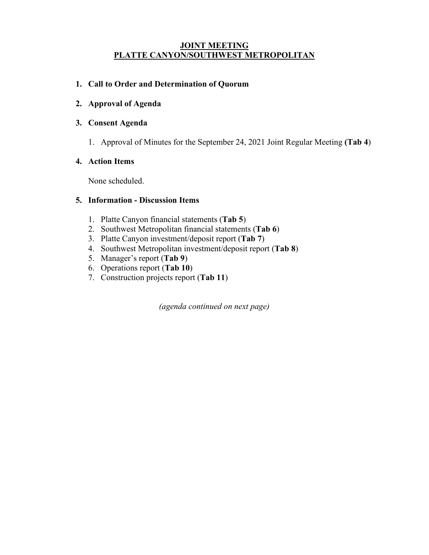#### **JOINT MEETING PLATTE CANYON/SOUTHWEST METROPOLITAN**

### **1. Call to Order and Determination of Quorum**

**2. Approval of Agenda**

### **3. Consent Agenda**

1. Approval of Minutes for the September 24, 2021 Joint Regular Meeting **(Tab 4**)

### **4. Action Items**

None scheduled.

### **5. Information - Discussion Items**

- 1. Platte Canyon financial statements (**Tab 5**)
- 2. Southwest Metropolitan financial statements (**Tab 6**)
- 3. Platte Canyon investment/deposit report (**Tab 7**)
- 4. Southwest Metropolitan investment/deposit report (**Tab 8**)
- 5. Manager's report (**Tab 9**)
- 6. Operations report (**Tab 10**)
- 7. Construction projects report (**Tab 11**)

*(agenda continued on next page)*